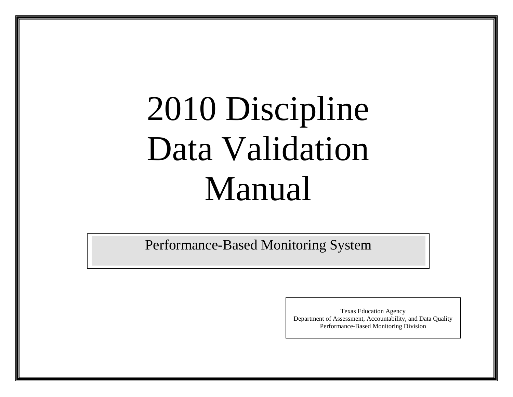# 2010 Discipline Data Validation Manual

Performance-Based Monitoring System

Texas Education Agency Department of Assessment, Accountability, and Data Quality Performance-Based Monitoring Division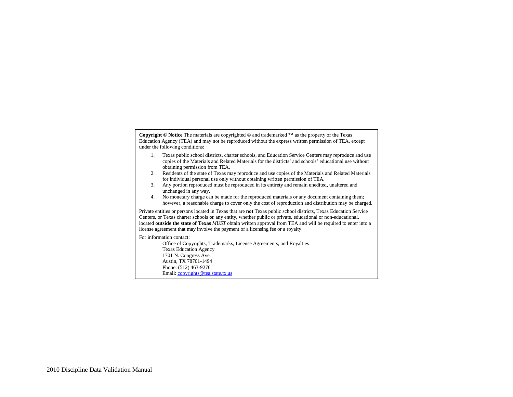**Copyright © Notice** The materials are copyrighted © and trademarked ™ as the property of the Texas Education Agency (TEA) and may not be reproduced without the express written permission of TEA, except under the following conditions:

- 1. Texas public school districts, charter schools, and Education Service Centers may reproduce and use copies of the Materials and Related Materials for the districts' and schools' educational use without obtaining permission from TEA.
- 2. Residents of the state of Texas may reproduce and use copies of the Materials and Related Materials for individual personal use only without obtaining written permission of TEA.
- 3. Any portion reproduced must be reproduced in its entirety and remain unedited, unaltered and unchanged in any way.
- 4. No monetary charge can be made for the reproduced materials or any document containing them; however, a reasonable charge to cover only the cost of reproduction and distribution may be charged.

Private entities or persons located in Texas that are **not** Texas public school districts, Texas Education Service Centers, or Texas charter schools **or** any entity, whether public or private, educational or non-educational, located **outside the state of Texas** *MUST* obtain written approval from TEA and will be required to enter into a license agreement that may involve the payment of a licensing fee or a royalty.

For information contact:

Office of Copyrights, Trademarks, License Agreements, and Royalties Texas Education Agency 1701 N. Congress Ave. Austin, TX 78701-1494 Phone: (512) 463-9270 Email[: copyrights@tea.state.tx.us](mailto:copyrights@tea.state.tx.us)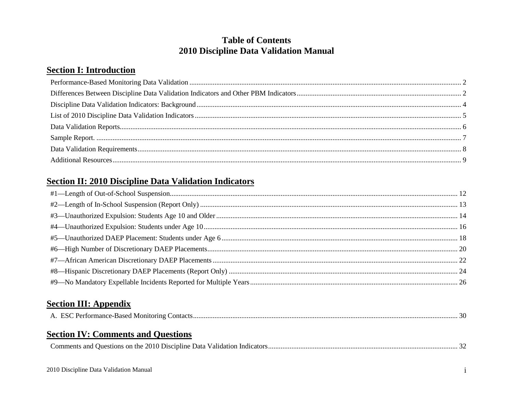# **Table of Contents** 2010 Discipline Data Validation Manual

# **Section I: Introduction**

# **Section II: 2010 Discipline Data Validation Indicators**

# **Section III: Appendix**

| ESC Performance-Based Monitoring Contacts<br>$A_{\cdot}$ |  |
|----------------------------------------------------------|--|
|----------------------------------------------------------|--|

# **Section IV: Comments and Questions**

| Comments and Questions on the 2010 Discipline Data Validation Indicators | $\Omega$ |  |
|--------------------------------------------------------------------------|----------|--|
|--------------------------------------------------------------------------|----------|--|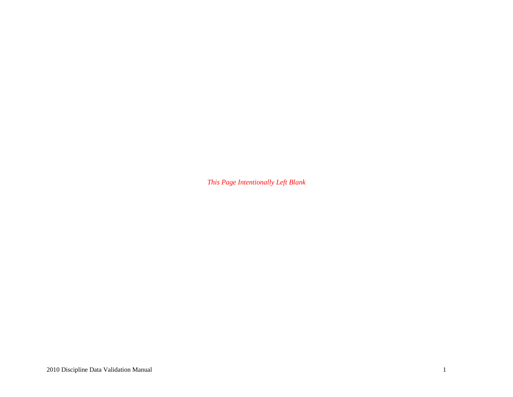*This Page Intentionally Left Blank*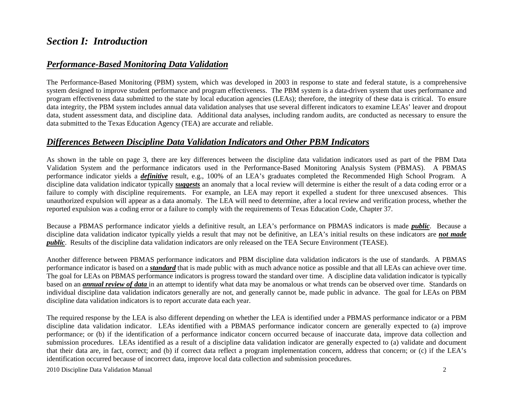# *Section I: Introduction*

## *Performance-Based Monitoring Data Validation*

The Performance-Based Monitoring (PBM) system, which was developed in 2003 in response to state and federal statute, is a comprehensive system designed to improve student performance and program effectiveness. The PBM system is a data-driven system that uses performance and program effectiveness data submitted to the state by local education agencies (LEAs); therefore, the integrity of these data is critical. To ensure data integrity, the PBM system includes annual data validation analyses that use several different indicators to examine LEAs' leaver and dropout data, student assessment data, and discipline data. Additional data analyses, including random audits, are conducted as necessary to ensure the data submitted to the Texas Education Agency (TEA) are accurate and reliable.

# *Differences Between Discipline Data Validation Indicators and Other PBM Indicators*

As shown in the table on page 3, there are key differences between the discipline data validation indicators used as part of the PBM Data Validation System and the performance indicators used in the Performance-Based Monitoring Analysis System (PBMAS). A PBMAS performance indicator yields a *definitive* result, e.g., 100% of an LEA's graduates completed the Recommended High School Program. A discipline data validation indicator typically *suggests* an anomaly that a local review will determine is either the result of a data coding error or a failure to comply with discipline requirements. For example, an LEA may report it expelled a student for three unexcused absences. This unauthorized expulsion will appear as a data anomaly. The LEA will need to determine, after a local review and verification process, whether the reported expulsion was a coding error or a failure to comply with the requirements of Texas Education Code, Chapter 37.

Because a PBMAS performance indicator yields a definitive result, an LEA's performance on PBMAS indicators is made *public*. Because a discipline data validation indicator typically yields a result that may not be definitive, an LEA's initial results on these indicators are *not made public*. Results of the discipline data validation indicators are only released on the TEA Secure Environment (TEASE).

Another difference between PBMAS performance indicators and PBM discipline data validation indicators is the use of standards. A PBMAS performance indicator is based on a *standard* that is made public with as much advance notice as possible and that all LEAs can achieve over time. The goal for LEAs on PBMAS performance indicators is progress toward the standard over time. A discipline data validation indicator is typically based on an *annual review of data* in an attempt to identify what data may be anomalous or what trends can be observed over time. Standards on individual discipline data validation indicators generally are not, and generally cannot be, made public in advance. The goal for LEAs on PBM discipline data validation indicators is to report accurate data each year.

The required response by the LEA is also different depending on whether the LEA is identified under a PBMAS performance indicator or a PBM discipline data validation indicator. LEAs identified with a PBMAS performance indicator concern are generally expected to (a) improve performance; or (b) if the identification of a performance indicator concern occurred because of inaccurate data, improve data collection and submission procedures. LEAs identified as a result of a discipline data validation indicator are generally expected to (a) validate and document that their data are, in fact, correct; and (b) if correct data reflect a program implementation concern, address that concern; or (c) if the LEA's identification occurred because of incorrect data, improve local data collection and submission procedures.

2010 Discipline Data Validation Manual 2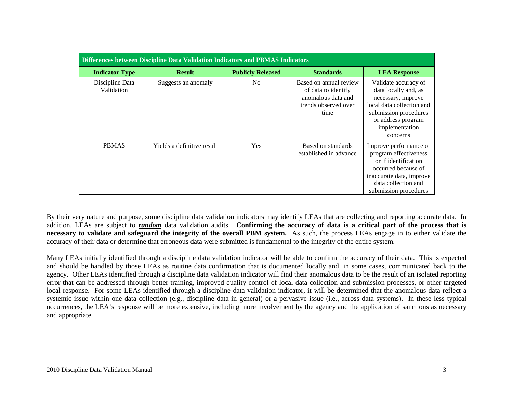| Differences between Discipline Data Validation Indicators and PBMAS Indicators |                            |                          |                                                                                                     |                                                                                                                                                                              |  |  |  |
|--------------------------------------------------------------------------------|----------------------------|--------------------------|-----------------------------------------------------------------------------------------------------|------------------------------------------------------------------------------------------------------------------------------------------------------------------------------|--|--|--|
| <b>Indicator Type</b>                                                          | <b>Result</b>              | <b>Publicly Released</b> | <b>Standards</b>                                                                                    | <b>LEA Response</b>                                                                                                                                                          |  |  |  |
| Discipline Data<br>Validation                                                  | Suggests an anomaly        | N <sub>0</sub>           | Based on annual review<br>of data to identify<br>anomalous data and<br>trends observed over<br>time | Validate accuracy of<br>data locally and, as<br>necessary, improve<br>local data collection and<br>submission procedures<br>or address program<br>implementation<br>concerns |  |  |  |
| <b>PBMAS</b>                                                                   | Yields a definitive result | <b>Yes</b>               | Based on standards<br>established in advance                                                        | Improve performance or<br>program effectiveness<br>or if identification<br>occurred because of<br>inaccurate data, improve<br>data collection and<br>submission procedures   |  |  |  |

By their very nature and purpose, some discipline data validation indicators may identify LEAs that are collecting and reporting accurate data. In addition, LEAs are subject to *random* data validation audits. **Confirming the accuracy of data is a critical part of the process that is necessary to validate and safeguard the integrity of the overall PBM system.** As such, the process LEAs engage in to either validate the accuracy of their data or determine that erroneous data were submitted is fundamental to the integrity of the entire system.

Many LEAs initially identified through a discipline data validation indicator will be able to confirm the accuracy of their data. This is expected and should be handled by those LEAs as routine data confirmation that is documented locally and, in some cases, communicated back to the agency. Other LEAs identified through a discipline data validation indicator will find their anomalous data to be the result of an isolated reporting error that can be addressed through better training, improved quality control of local data collection and submission processes, or other targeted local response. For some LEAs identified through a discipline data validation indicator, it will be determined that the anomalous data reflect a systemic issue within one data collection (e.g., discipline data in general) or a pervasive issue (i.e., across data systems). In these less typical occurrences, the LEA's response will be more extensive, including more involvement by the agency and the application of sanctions as necessary and appropriate.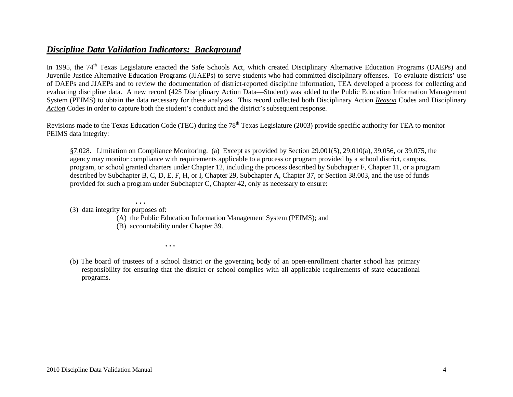# *Discipline Data Validation Indicators: Background*

In 1995, the 74<sup>th</sup> Texas Legislature enacted the Safe Schools Act, which created Disciplinary Alternative Education Programs (DAEPs) and Juvenile Justice Alternative Education Programs (JJAEPs) to serve students who had committed disciplinary offenses. To evaluate districts' use of DAEPs and JJAEPs and to review the documentation of district-reported discipline information, TEA developed a process for collecting and evaluating discipline data. A new record (425 Disciplinary Action Data—Student) was added to the Public Education Information Management System (PEIMS) to obtain the data necessary for these analyses. This record collected both Disciplinary Action *Reason* Codes and Disciplinary *Action* Codes in order to capture both the student's conduct and the district's subsequent response.

Revisions made to the Texas Education Code (TEC) during the 78<sup>th</sup> Texas Legislature (2003) provide specific authority for TEA to monitor PEIMS data integrity:

§7.028. Limitation on Compliance Monitoring. (a) Except as provided by Section 29.001(5), 29.010(a), 39.056, or 39.075, the agency may monitor compliance with requirements applicable to a process or program provided by a school district, campus, program, or school granted charters under Chapter 12, including the process described by Subchapter F, Chapter 11, or a program described by Subchapter B, C, D, E, F, H, or I, Chapter 29, Subchapter A, Chapter 37, or Section 38.003, and the use of funds provided for such a program under Subchapter C, Chapter 42, only as necessary to ensure:

**. . .**

- (3) data integrity for purposes of:
	- (A) the Public Education Information Management System (PEIMS); and
	- (B) accountability under Chapter 39.

**. . .**

(b) The board of trustees of a school district or the governing body of an open-enrollment charter school has primary responsibility for ensuring that the district or school complies with all applicable requirements of state educational programs.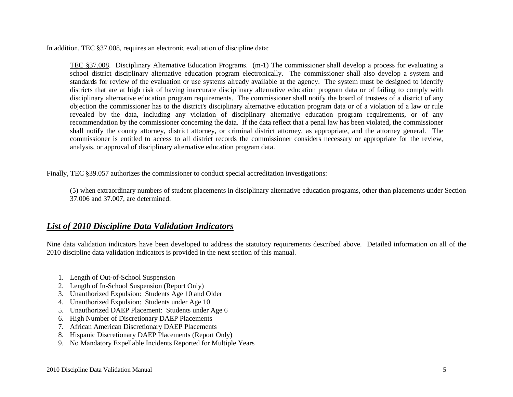In addition, TEC §37.008, requires an electronic evaluation of discipline data:

TEC §37.008. Disciplinary Alternative Education Programs. (m-1) The commissioner shall develop a process for evaluating a school district disciplinary alternative education program electronically. The commissioner shall also develop a system and standards for review of the evaluation or use systems already available at the agency. The system must be designed to identify districts that are at high risk of having inaccurate disciplinary alternative education program data or of failing to comply with disciplinary alternative education program requirements. The commissioner shall notify the board of trustees of a district of any objection the commissioner has to the district's disciplinary alternative education program data or of a violation of a law or rule revealed by the data, including any violation of disciplinary alternative education program requirements, or of any recommendation by the commissioner concerning the data. If the data reflect that a penal law has been violated, the commissioner shall notify the county attorney, district attorney, or criminal district attorney, as appropriate, and the attorney general. The commissioner is entitled to access to all district records the commissioner considers necessary or appropriate for the review, analysis, or approval of disciplinary alternative education program data.

Finally, TEC §39.057 authorizes the commissioner to conduct special accreditation investigations:

(5) when extraordinary numbers of student placements in disciplinary alternative education programs, other than placements under Section 37.006 and 37.007, are determined.

# *List of 2010 Discipline Data Validation Indicators*

Nine data validation indicators have been developed to address the statutory requirements described above. Detailed information on all of the 2010 discipline data validation indicators is provided in the next section of this manual.

- 1. Length of Out-of-School Suspension
- 2. Length of In-School Suspension (Report Only)
- 3. Unauthorized Expulsion: Students Age 10 and Older
- 4. Unauthorized Expulsion: Students under Age 10
- 5. Unauthorized DAEP Placement: Students under Age 6
- 6. High Number of Discretionary DAEP Placements
- 7. African American Discretionary DAEP Placements
- 8. Hispanic Discretionary DAEP Placements (Report Only)
- 9. No Mandatory Expellable Incidents Reported for Multiple Years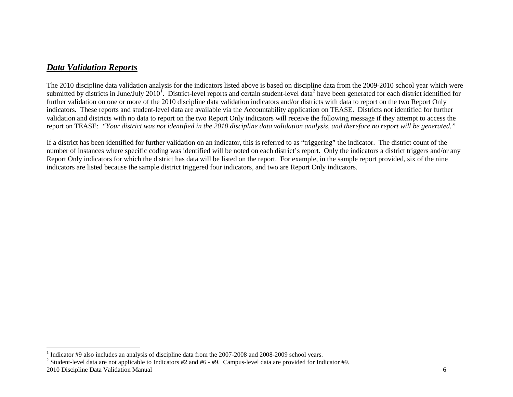# <span id="page-8-1"></span><span id="page-8-0"></span>*Data Validation Reports*

The 2010 discipline data validation analysis for the indicators listed above is based on discipline data from the 2009-2010 school year which were submitted by districts in June/July 20[1](#page-8-0)0<sup>1</sup>. District-level reports and certain student-level data<sup>[2](#page-8-1)</sup> have been generated for each district identified for further validation on one or more of the 2010 discipline data validation indicators and/or districts with data to report on the two Report Only indicators. These reports and student-level data are available via the Accountability application on TEASE. Districts not identified for further validation and districts with no data to report on the two Report Only indicators will receive the following message if they attempt to access the report on TEASE: *"Your district was not identified in the 2010 discipline data validation analysis, and therefore no report will be generated."*

If a district has been identified for further validation on an indicator, this is referred to as "triggering" the indicator. The district count of the number of instances where specific coding was identified will be noted on each district's report. Only the indicators a district triggers and/or any Report Only indicators for which the district has data will be listed on the report. For example, in the sample report provided, six of the nine indicators are listed because the sample district triggered four indicators, and two are Report Only indicators.

<sup>&</sup>lt;sup>1</sup> Indicator #9 also includes an analysis of discipline data from the 2007-2008 and 2008-2009 school years.<br><sup>2</sup> Student-level data are not applicable to Indicators #2 and #6 - #9. Campus-level data are provided for Indic

<sup>2010</sup> Discipline Data Validation Manual 6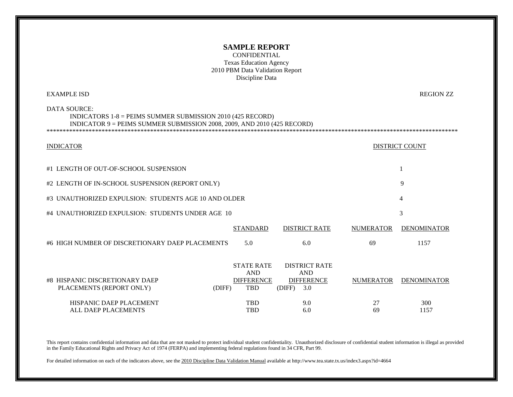#### **SAMPLE REPORT** CONFIDENTIAL Texas Education Agency 2010 PBM Data Validation Report

Discipline Data

| <b>EXAMPLE ISD</b>                                                                                                                                           |                   |                      |                  | <b>REGION ZZ</b>      |
|--------------------------------------------------------------------------------------------------------------------------------------------------------------|-------------------|----------------------|------------------|-----------------------|
| <b>DATA SOURCE:</b><br>INDICATORS 1-8 = PEIMS SUMMER SUBMISSION 2010 (425 RECORD)<br>INDICATOR 9 = PEIMS SUMMER SUBMISSION 2008, 2009, AND 2010 (425 RECORD) |                   |                      |                  |                       |
| <b>INDICATOR</b>                                                                                                                                             |                   |                      |                  | <b>DISTRICT COUNT</b> |
| #1 LENGTH OF OUT-OF-SCHOOL SUSPENSION                                                                                                                        |                   |                      |                  |                       |
| #2 LENGTH OF IN-SCHOOL SUSPENSION (REPORT ONLY)                                                                                                              |                   |                      |                  | 9                     |
| #3 UNAUTHORIZED EXPULSION: STUDENTS AGE 10 AND OLDER                                                                                                         |                   |                      |                  | 4                     |
| #4 UNAUTHORIZED EXPULSION: STUDENTS UNDER AGE 10                                                                                                             |                   |                      |                  | 3                     |
|                                                                                                                                                              | <b>STANDARD</b>   | <b>DISTRICT RATE</b> | <b>NUMERATOR</b> | <b>DENOMINATOR</b>    |
| #6 HIGH NUMBER OF DISCRETIONARY DAEP PLACEMENTS                                                                                                              | 5.0               | 6.0                  | 69               | 1157                  |
|                                                                                                                                                              | <b>STATE RATE</b> | <b>DISTRICT RATE</b> |                  |                       |

|                                | 51111111111          | $P_{101}$         |                  |                    |
|--------------------------------|----------------------|-------------------|------------------|--------------------|
|                                | AND                  | <b>AND</b>        |                  |                    |
| #8 HISPANIC DISCRETIONARY DAEP | <b>DIFFERENCE</b>    | <b>DIFFERENCE</b> | <b>NUMERATOR</b> | <b>DENOMINATOR</b> |
| PLACEMENTS (REPORT ONLY)       | <b>TBD</b><br>(DIFF) | 3.0<br>(DIFF)     |                  |                    |
| HISPANIC DAEP PLACEMENT        | TBD                  | 9.0               |                  | 300                |
|                                |                      |                   |                  |                    |
| ALL DAEP PLACEMENTS            | <b>TBD</b>           | 6.0               | 69               | 157                |
|                                |                      |                   |                  |                    |

This report contains confidential information and data that are not masked to protect individual student confidentiality. Unauthorized disclosure of confidential student information is illegal as provided in the Family Educational Rights and Privacy Act of 1974 (FERPA) and implementing federal regulations found in 34 CFR, Part 99.

For detailed information on each of the indicators above, see the 2010 Discipline Data Validation Manual available at http://www.tea.state.tx.us/index3.aspx?id=4664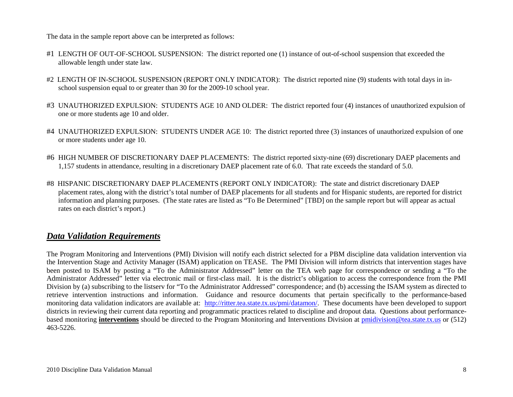The data in the sample report above can be interpreted as follows:

- #1 LENGTH OF OUT-OF-SCHOOL SUSPENSION: The district reported one (1) instance of out-of-school suspension that exceeded the allowable length under state law.
- #2 LENGTH OF IN-SCHOOL SUSPENSION (REPORT ONLY INDICATOR): The district reported nine (9) students with total days in inschool suspension equal to or greater than 30 for the 2009-10 school year.
- #3 UNAUTHORIZED EXPULSION: STUDENTS AGE 10 AND OLDER: The district reported four (4) instances of unauthorized expulsion of one or more students age 10 and older.
- #4 UNAUTHORIZED EXPULSION: STUDENTS UNDER AGE 10: The district reported three (3) instances of unauthorized expulsion of one or more students under age 10.
- #6 HIGH NUMBER OF DISCRETIONARY DAEP PLACEMENTS: The district reported sixty-nine (69) discretionary DAEP placements and 1,157 students in attendance, resulting in a discretionary DAEP placement rate of 6.0. That rate exceeds the standard of 5.0.
- #8 HISPANIC DISCRETIONARY DAEP PLACEMENTS (REPORT ONLY INDICATOR): The state and district discretionary DAEP placement rates, along with the district's total number of DAEP placements for all students and for Hispanic students, are reported for district information and planning purposes. (The state rates are listed as "To Be Determined" [TBD] on the sample report but will appear as actual rates on each district's report.)

# *Data Validation Requirements*

The Program Monitoring and Interventions (PMI) Division will notify each district selected for a PBM discipline data validation intervention via the Intervention Stage and Activity Manager (ISAM) application on TEASE. The PMI Division will inform districts that intervention stages have been posted to ISAM by posting a "To the Administrator Addressed" letter on the TEA web page for correspondence or sending a "To the Administrator Addressed" letter via electronic mail or first-class mail. It is the district's obligation to access the correspondence from the PMI Division by (a) subscribing to the listserv for "To the Administrator Addressed" correspondence; and (b) accessing the ISAM system as directed to retrieve intervention instructions and information. Guidance and resource documents that pertain specifically to the performance-based monitoring data validation indicators are available at: [http://ritter.tea.state.tx.us/pmi/datamon/.](http://ritter.tea.state.tx.us/pmi/datamon/) These documents have been developed to support districts in reviewing their current data reporting and programmatic practices related to discipline and dropout data. Questions about performancebased monitoring **interventions** should be directed to the Program Monitoring and Interventions Division at [pmidivision@tea.state.tx.us](mailto:pmidivision@tea.state.tx.us) or (512) 463-5226.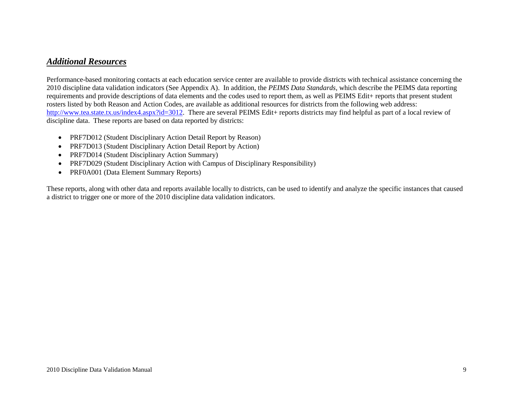#### *Additional Resources*

Performance-based monitoring contacts at each education service center are available to provide districts with technical assistance concerning the 2010 discipline data validation indicators (See Appendix A). In addition, the *PEIMS Data Standards*, which describe the PEIMS data reporting requirements and provide descriptions of data elements and the codes used to report them, as well as PEIMS Edit+ reports that present student rosters listed by both Reason and Action Codes, are available as additional resources for districts from the following web address: [http://www.tea.state.tx.us/index4.aspx?id=3012.](http://www.tea.state.tx.us/index4.aspx?id=3012) There are several PEIMS Edit+ reports districts may find helpful as part of a local review of discipline data. These reports are based on data reported by districts:

- PRF7D012 (Student Disciplinary Action Detail Report by Reason)
- PRF7D013 (Student Disciplinary Action Detail Report by Action)
- PRF7D014 (Student Disciplinary Action Summary)
- PRF7D029 (Student Disciplinary Action with Campus of Disciplinary Responsibility)
- PRF0A001 (Data Element Summary Reports)

These reports, along with other data and reports available locally to districts, can be used to identify and analyze the specific instances that caused a district to trigger one or more of the 2010 discipline data validation indicators.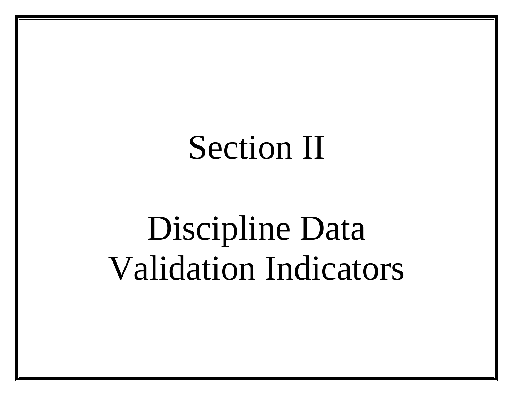# Section II

# Discipline Data Validation Indicators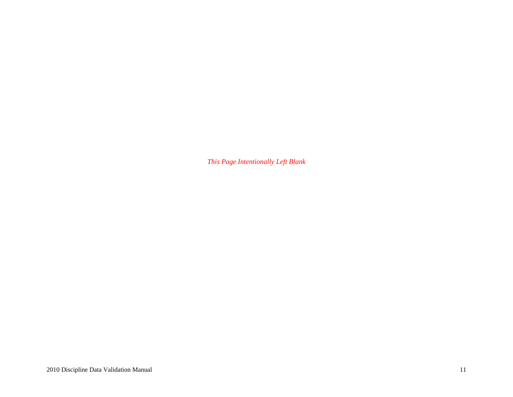*This Page Intentionally Left Blank*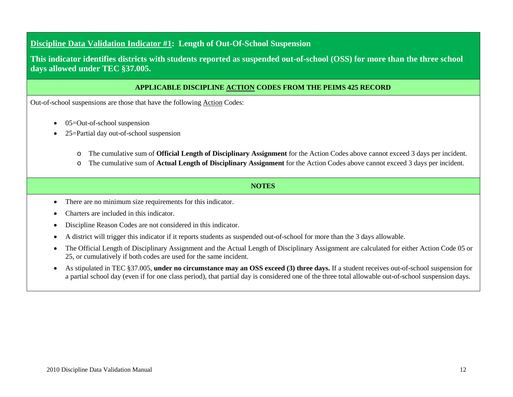# **Discipline Data Validation Indicator #1: Length of Out-Of-School Suspension**

**This indicator identifies districts with students reported as suspended out-of-school (OSS) for more than the three school days allowed under TEC §37.005.**

#### **APPLICABLE DISCIPLINE ACTION CODES FROM THE PEIMS 425 RECORD**

Out-of-school suspensions are those that have the following Action Codes:

- 05=Out-of-school suspension
- 25=Partial day out-of-school suspension
	- o The cumulative sum of **Official Length of Disciplinary Assignment** for the Action Codes above cannot exceed 3 days per incident.
	- o The cumulative sum of **Actual Length of Disciplinary Assignment** for the Action Codes above cannot exceed 3 days per incident.

#### **NOTES**

- There are no minimum size requirements for this indicator.
- Charters are included in this indicator.
- Discipline Reason Codes are not considered in this indicator.
- A district will trigger this indicator if it reports students as suspended out-of-school for more than the 3 days allowable.
- The Official Length of Disciplinary Assignment and the Actual Length of Disciplinary Assignment are calculated for either Action Code 05 or 25, or cumulatively if both codes are used for the same incident.
- As stipulated in TEC §37.005, **under no circumstance may an OSS exceed (3) three days.** If a student receives out-of-school suspension for a partial school day (even if for one class period), that partial day is considered one of the three total allowable out-of-school suspension days.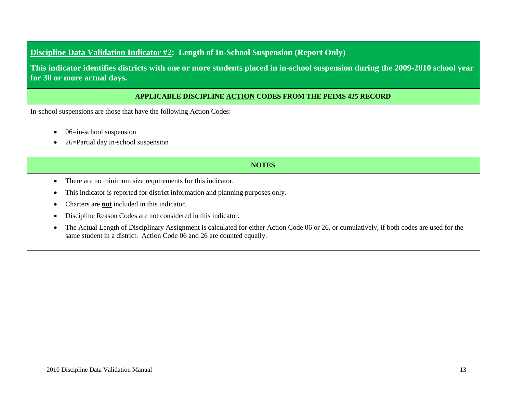# **Discipline Data Validation Indicator #2: Length of In-School Suspension (Report Only)**

**This indicator identifies districts with one or more students placed in in-school suspension during the 2009-2010 school year for 30 or more actual days.**

#### **APPLICABLE DISCIPLINE ACTION CODES FROM THE PEIMS 425 RECORD**

In-school suspensions are those that have the following Action Codes:

- $\bullet$  06=in-school suspension
- 26=Partial day in-school suspension

#### **NOTES**

- There are no minimum size requirements for this indicator.
- This indicator is reported for district information and planning purposes only.
- Charters are **not** included in this indicator.
- Discipline Reason Codes are not considered in this indicator.
- The Actual Length of Disciplinary Assignment is calculated for either Action Code 06 or 26, or cumulatively, if both codes are used for the same student in a district. Action Code 06 and 26 are counted equally.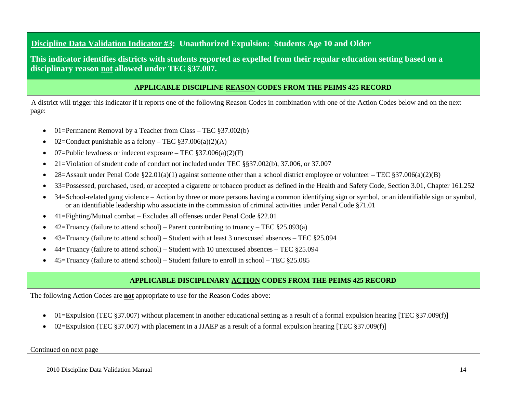## **Discipline Data Validation Indicator #3: Unauthorized Expulsion: Students Age 10 and Older**

**This indicator identifies districts with students reported as expelled from their regular education setting based on a disciplinary reason not allowed under TEC §37.007.**

#### **APPLICABLE DISCIPLINE REASON CODES FROM THE PEIMS 425 RECORD**

A district will trigger this indicator if it reports one of the following Reason Codes in combination with one of the Action Codes below and on the next page:

- 01=Permanent Removal by a Teacher from Class TEC §37.002(b)
- 02=Conduct punishable as a felony TEC  $$37.006(a)(2)(A)$
- 07=Public lewdness or indecent exposure TEC  $\S 37.006(a)(2)$ (F)
- 21=Violation of student code of conduct not included under TEC §§37.002(b), 37.006, or 37.007
- 28=Assault under Penal Code §22.01(a)(1) against someone other than a school district employee or volunteer TEC §37.006(a)(2)(B)
- 33=Possessed, purchased, used, or accepted a cigarette or tobacco product as defined in the Health and Safety Code, Section 3.01, Chapter 161.252
- 34=School-related gang violence Action by three or more persons having a common identifying sign or symbol, or an identifiable sign or symbol, or an identifiable leadership who associate in the commission of criminal activities under Penal Code §71.01
- 41=Fighting/Mutual combat Excludes all offenses under Penal Code §22.01
- $42=$ Truancy (failure to attend school) Parent contributing to truancy TEC §25.093(a)
- 43=Truancy (failure to attend school) Student with at least 3 unexcused absences TEC §25.094
- 44=Truancy (failure to attend school) Student with 10 unexcused absences TEC §25.094
- 45=Truancy (failure to attend school) Student failure to enroll in school TEC §25.085

## **APPLICABLE DISCIPLINARY ACTION CODES FROM THE PEIMS 425 RECORD**

The following Action Codes are **not** appropriate to use for the Reason Codes above:

- 01=Expulsion (TEC  $\S 37.007$ ) without placement in another educational setting as a result of a formal expulsion hearing [TEC  $\S 37.009(f)$ ]
- 02=Expulsion (TEC §37.007) with placement in a JJAEP as a result of a formal expulsion hearing [TEC §37.009(f)]

Continued on next page

2010 Discipline Data Validation Manual 14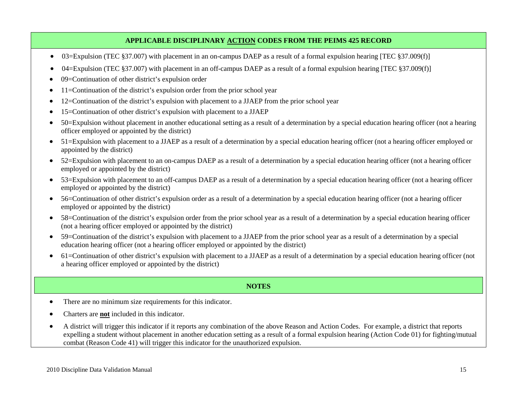#### **APPLICABLE DISCIPLINARY ACTION CODES FROM THE PEIMS 425 RECORD**

- 03=Expulsion (TEC §37.007) with placement in an on-campus DAEP as a result of a formal expulsion hearing [TEC §37.009(f)]
- 04=Expulsion (TEC §37.007) with placement in an off-campus DAEP as a result of a formal expulsion hearing [TEC §37.009(f)]
- 09=Continuation of other district's expulsion order
- 11=Continuation of the district's expulsion order from the prior school year
- 12=Continuation of the district's expulsion with placement to a JJAEP from the prior school year
- 15=Continuation of other district's expulsion with placement to a JJAEP
- 50 Expulsion without placement in another educational setting as a result of a determination by a special education hearing officer (not a hearing officer employed or appointed by the district)
- 51=Expulsion with placement to a JJAEP as a result of a determination by a special education hearing officer (not a hearing officer employed or appointed by the district)
- 52 Expulsion with placement to an on-campus DAEP as a result of a determination by a special education hearing officer (not a hearing officer employed or appointed by the district)
- 53=Expulsion with placement to an off-campus DAEP as a result of a determination by a special education hearing officer (not a hearing officer employed or appointed by the district)
- 56=Continuation of other district's expulsion order as a result of a determination by a special education hearing officer (not a hearing officer employed or appointed by the district)
- 58 = Continuation of the district's expulsion order from the prior school year as a result of a determination by a special education hearing officer (not a hearing officer employed or appointed by the district)
- 59=Continuation of the district's expulsion with placement to a JJAEP from the prior school year as a result of a determination by a special education hearing officer (not a hearing officer employed or appointed by the district)
- 61=Continuation of other district's expulsion with placement to a JJAEP as a result of a determination by a special education hearing officer (not a hearing officer employed or appointed by the district)

#### **NOTES**

- There are no minimum size requirements for this indicator.
- Charters are **not** included in this indicator.
- A district will trigger this indicator if it reports any combination of the above Reason and Action Codes. For example, a district that reports expelling a student without placement in another education setting as a result of a formal expulsion hearing (Action Code 01) for fighting/mutual combat (Reason Code 41) will trigger this indicator for the unauthorized expulsion.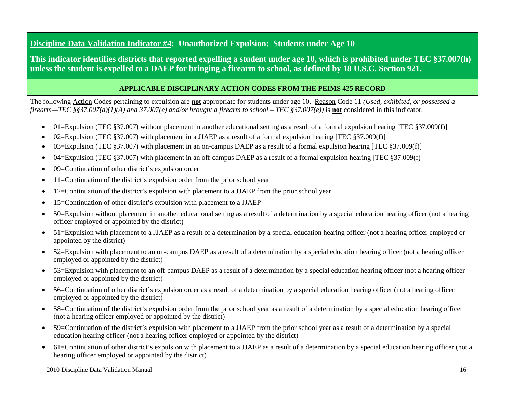# **Discipline Data Validation Indicator #4: Unauthorized Expulsion: Students under Age 10**

**This indicator identifies districts that reported expelling a student under age 10, which is prohibited under TEC §37.007(h) unless the student is expelled to a DAEP for bringing a firearm to school, as defined by 18 U.S.C. Section 921.**

#### **APPLICABLE DISCIPLINARY ACTION CODES FROM THE PEIMS 425 RECORD**

The following Action Codes pertaining to expulsion are **not** appropriate for students under age 10. Reason Code 11 *(Used, exhibited, or possessed a firearm—TEC §§37.007(a)(1)(A) and 37.007(e) and/or brought a firearm to school – TEC §37.007(e))* is **not** considered in this indicator.

- 01=Expulsion (TEC §37.007) without placement in another educational setting as a result of a formal expulsion hearing [TEC §37.009(f)]
- 02=Expulsion (TEC §37.007) with placement in a JJAEP as a result of a formal expulsion hearing [TEC §37.009(f)]
- 03=Expulsion (TEC §37.007) with placement in an on-campus DAEP as a result of a formal expulsion hearing [TEC §37.009(f)]
- 04=Expulsion (TEC §37.007) with placement in an off-campus DAEP as a result of a formal expulsion hearing [TEC §37.009(f)]
- 09=Continuation of other district's expulsion order
- 11=Continuation of the district's expulsion order from the prior school year
- 12=Continuation of the district's expulsion with placement to a JJAEP from the prior school year
- 15=Continuation of other district's expulsion with placement to a JJAEP
- 50=Expulsion without placement in another educational setting as a result of a determination by a special education hearing officer (not a hearing officer employed or appointed by the district)
- 51=Expulsion with placement to a JJAEP as a result of a determination by a special education hearing officer (not a hearing officer employed or appointed by the district)
- 52 Expulsion with placement to an on-campus DAEP as a result of a determination by a special education hearing officer (not a hearing officer employed or appointed by the district)
- 53=Expulsion with placement to an off-campus DAEP as a result of a determination by a special education hearing officer (not a hearing officer employed or appointed by the district)
- 56=Continuation of other district's expulsion order as a result of a determination by a special education hearing officer (not a hearing officer employed or appointed by the district)
- 58 = Continuation of the district's expulsion order from the prior school year as a result of a determination by a special education hearing officer (not a hearing officer employed or appointed by the district)
- 59=Continuation of the district's expulsion with placement to a JJAEP from the prior school year as a result of a determination by a special education hearing officer (not a hearing officer employed or appointed by the district)
- 61=Continuation of other district's expulsion with placement to a JJAEP as a result of a determination by a special education hearing officer (not a hearing officer employed or appointed by the district)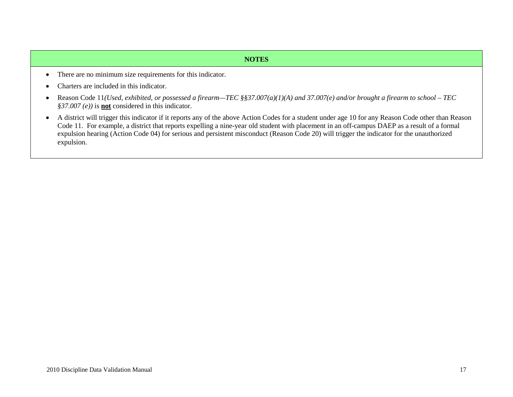#### **NOTES**

- There are no minimum size requirements for this indicator.
- Charters are included in this indicator.
- Reason Code 11*(Used, exhibited, or possessed a firearm—TEC §§37.007(a)(1)(A) and 37.007(e) and/or brought a firearm to school – TEC §37.007 (e))* is **not** considered in this indicator.
- A district will trigger this indicator if it reports any of the above Action Codes for a student under age 10 for any Reason Code other than Reason Code 11. For example, a district that reports expelling a nine-year old student with placement in an off-campus DAEP as a result of a formal expulsion hearing (Action Code 04) for serious and persistent misconduct (Reason Code 20) will trigger the indicator for the unauthorized expulsion.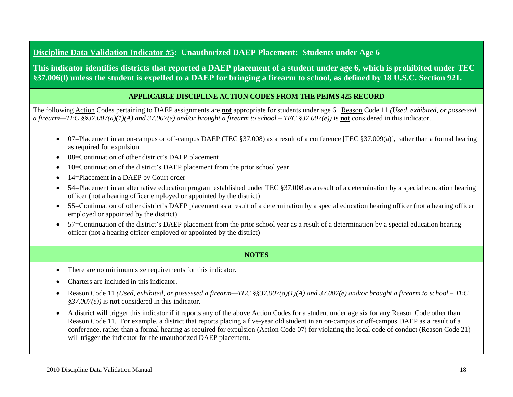## **Discipline Data Validation Indicator #5: Unauthorized DAEP Placement: Students under Age 6**

**This indicator identifies districts that reported a DAEP placement of a student under age 6, which is prohibited under TEC §37.006(l) unless the student is expelled to a DAEP for bringing a firearm to school, as defined by 18 U.S.C. Section 921.**

#### **APPLICABLE DISCIPLINE ACTION CODES FROM THE PEIMS 425 RECORD**

The following Action Codes pertaining to DAEP assignments are **not** appropriate for students under age 6. Reason Code 11 *(Used, exhibited, or possessed a firearm—TEC §§37.007(a)(1)(A) and 37.007(e) and/or brought a firearm to school – TEC §37.007(e))* is **not** considered in this indicator.

- 07=Placement in an on-campus or off-campus DAEP (TEC  $\S37.008$ ) as a result of a conference [TEC  $\S37.009(a)$ ], rather than a formal hearing as required for expulsion
- 08=Continuation of other district's DAEP placement
- 10=Continuation of the district's DAEP placement from the prior school year
- 14=Placement in a DAEP by Court order
- 54=Placement in an alternative education program established under TEC §37.008 as a result of a determination by a special education hearing officer (not a hearing officer employed or appointed by the district)
- 55=Continuation of other district's DAEP placement as a result of a determination by a special education hearing officer (not a hearing officer employed or appointed by the district)
- 57=Continuation of the district's DAEP placement from the prior school year as a result of a determination by a special education hearing officer (not a hearing officer employed or appointed by the district)

#### **NOTES**

- There are no minimum size requirements for this indicator.
- Charters are included in this indicator.
- Reason Code 11 *(Used, exhibited, or possessed a firearm—TEC §§37.007(a)(1)(A) and 37.007(e) and/or brought a firearm to school – TEC §37.007(e))* is **not** considered in this indicator.
- A district will trigger this indicator if it reports any of the above Action Codes for a student under age six for any Reason Code other than Reason Code 11. For example, a district that reports placing a five-year old student in an on-campus or off-campus DAEP as a result of a conference, rather than a formal hearing as required for expulsion (Action Code 07) for violating the local code of conduct (Reason Code 21) will trigger the indicator for the unauthorized DAEP placement.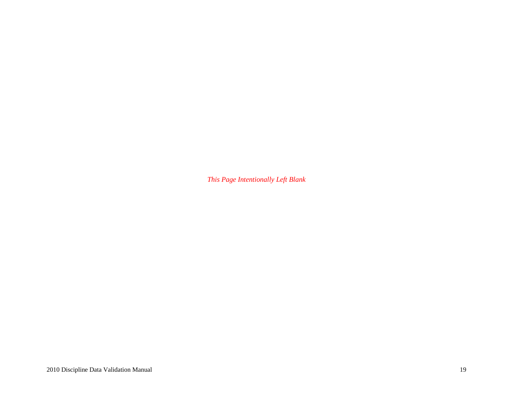*This Page Intentionally Left Blank*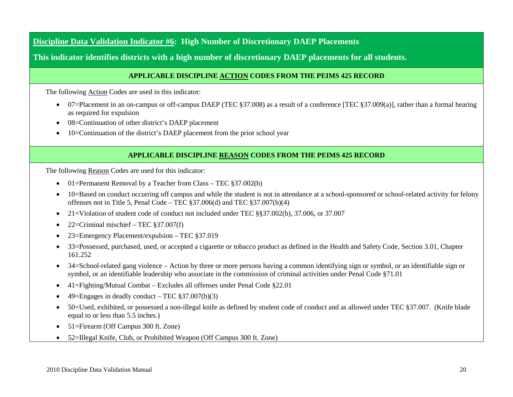# **Discipline Data Validation Indicator #6: High Number of Discretionary DAEP Placements**

**This indicator identifies districts with a high number of discretionary DAEP placements for all students.**

#### **APPLICABLE DISCIPLINE ACTION CODES FROM THE PEIMS 425 RECORD**

The following Action Codes are used in this indicator:

- 07=Placement in an on-campus or off-campus DAEP (TEC  $\S 37.008$ ) as a result of a conference [TEC  $\S 37.009(a)$ ], rather than a formal hearing as required for expulsion
- 08=Continuation of other district's DAEP placement
- 10=Continuation of the district's DAEP placement from the prior school year

#### **APPLICABLE DISCIPLINE REASON CODES FROM THE PEIMS 425 RECORD**

The following Reason Codes are used for this indicator:

- 01=Permanent Removal by a Teacher from Class TEC §37.002(b)
- 10=Based on conduct occurring off campus and while the student is not in attendance at a school-sponsored or school-related activity for felony offenses not in Title 5, Penal Code – TEC  $$37.006(d)$  and TEC  $$37.007(b)(4)$
- 21=Violation of student code of conduct not included under TEC §§37.002(b), 37.006, or 37.007
- 22=Criminal mischief TEC  $\S 37.007(f)$
- 23=Emergency Placement/expulsion TEC §37.019
- 33=Possessed, purchased, used, or accepted a cigarette or tobacco product as defined in the Health and Safety Code, Section 3.01, Chapter 161.252
- 34=School-related gang violence Action by three or more persons having a common identifying sign or symbol, or an identifiable sign or symbol, or an identifiable leadership who associate in the commission of criminal activities under Penal Code §71.01
- 41=Fighting/Mutual Combat Excludes all offenses under Penal Code §22.01
- 49=Engages in deadly conduct TEC  $\S 37.007(b)(3)$
- 50 = Used, exhibited, or possessed a non-illegal knife as defined by student code of conduct and as allowed under TEC §37.007. (Knife blade equal to or less than 5.5 inches.)
- 51=Firearm (Off Campus 300 ft. Zone)
- 52=Illegal Knife, Club, or Prohibited Weapon (Off Campus 300 ft. Zone)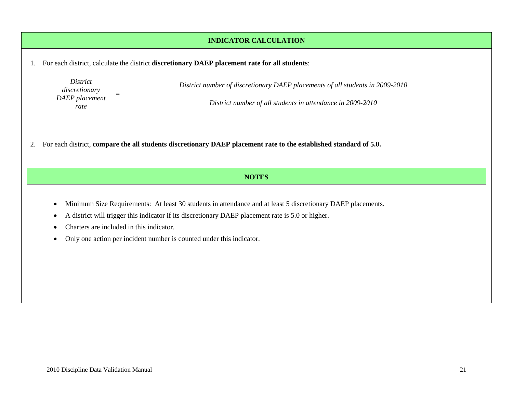| For each district, calculate the district discretionary DAEP placement rate for all students:<br>District<br>District number of discretionary DAEP placements of all students in 2009-2010<br>discretionary<br>DAEP placement<br>District number of all students in attendance in 2009-2010<br>rate<br>For each district, compare the all students discretionary DAEP placement rate to the established standard of 5.0.<br><b>NOTES</b><br>Minimum Size Requirements: At least 30 students in attendance and at least 5 discretionary DAEP placements.<br>$\bullet$<br>A district will trigger this indicator if its discretionary DAEP placement rate is 5.0 or higher.<br>$\bullet$<br>Charters are included in this indicator.<br>$\bullet$<br>Only one action per incident number is counted under this indicator.<br>$\bullet$ |    | <b>INDICATOR CALCULATION</b> |  |  |  |  |
|--------------------------------------------------------------------------------------------------------------------------------------------------------------------------------------------------------------------------------------------------------------------------------------------------------------------------------------------------------------------------------------------------------------------------------------------------------------------------------------------------------------------------------------------------------------------------------------------------------------------------------------------------------------------------------------------------------------------------------------------------------------------------------------------------------------------------------------|----|------------------------------|--|--|--|--|
|                                                                                                                                                                                                                                                                                                                                                                                                                                                                                                                                                                                                                                                                                                                                                                                                                                      | 1. |                              |  |  |  |  |
|                                                                                                                                                                                                                                                                                                                                                                                                                                                                                                                                                                                                                                                                                                                                                                                                                                      |    |                              |  |  |  |  |
|                                                                                                                                                                                                                                                                                                                                                                                                                                                                                                                                                                                                                                                                                                                                                                                                                                      |    |                              |  |  |  |  |
|                                                                                                                                                                                                                                                                                                                                                                                                                                                                                                                                                                                                                                                                                                                                                                                                                                      |    |                              |  |  |  |  |
|                                                                                                                                                                                                                                                                                                                                                                                                                                                                                                                                                                                                                                                                                                                                                                                                                                      |    |                              |  |  |  |  |
|                                                                                                                                                                                                                                                                                                                                                                                                                                                                                                                                                                                                                                                                                                                                                                                                                                      | 2. |                              |  |  |  |  |
|                                                                                                                                                                                                                                                                                                                                                                                                                                                                                                                                                                                                                                                                                                                                                                                                                                      |    |                              |  |  |  |  |
|                                                                                                                                                                                                                                                                                                                                                                                                                                                                                                                                                                                                                                                                                                                                                                                                                                      |    |                              |  |  |  |  |
|                                                                                                                                                                                                                                                                                                                                                                                                                                                                                                                                                                                                                                                                                                                                                                                                                                      |    |                              |  |  |  |  |
|                                                                                                                                                                                                                                                                                                                                                                                                                                                                                                                                                                                                                                                                                                                                                                                                                                      |    |                              |  |  |  |  |
|                                                                                                                                                                                                                                                                                                                                                                                                                                                                                                                                                                                                                                                                                                                                                                                                                                      |    |                              |  |  |  |  |
|                                                                                                                                                                                                                                                                                                                                                                                                                                                                                                                                                                                                                                                                                                                                                                                                                                      |    |                              |  |  |  |  |
|                                                                                                                                                                                                                                                                                                                                                                                                                                                                                                                                                                                                                                                                                                                                                                                                                                      |    |                              |  |  |  |  |
|                                                                                                                                                                                                                                                                                                                                                                                                                                                                                                                                                                                                                                                                                                                                                                                                                                      |    |                              |  |  |  |  |
|                                                                                                                                                                                                                                                                                                                                                                                                                                                                                                                                                                                                                                                                                                                                                                                                                                      |    |                              |  |  |  |  |
|                                                                                                                                                                                                                                                                                                                                                                                                                                                                                                                                                                                                                                                                                                                                                                                                                                      |    |                              |  |  |  |  |
|                                                                                                                                                                                                                                                                                                                                                                                                                                                                                                                                                                                                                                                                                                                                                                                                                                      |    |                              |  |  |  |  |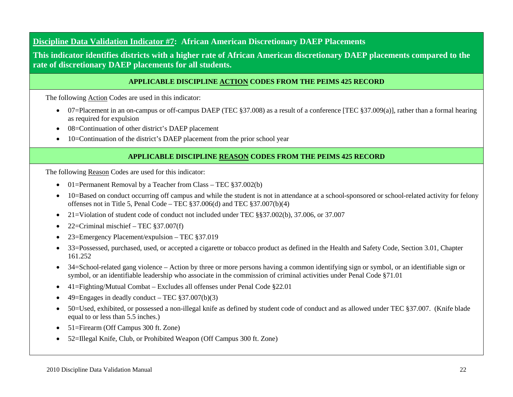## **Discipline Data Validation Indicator #7: African American Discretionary DAEP Placements**

**This indicator identifies districts with a higher rate of African American discretionary DAEP placements compared to the rate of discretionary DAEP placements for all students.**

#### **APPLICABLE DISCIPLINE ACTION CODES FROM THE PEIMS 425 RECORD**

The following Action Codes are used in this indicator:

- 07=Placement in an on-campus or off-campus DAEP (TEC  $\S 37.008$ ) as a result of a conference [TEC  $\S 37.009(a)$ ], rather than a formal hearing as required for expulsion
- 08=Continuation of other district's DAEP placement
- 10=Continuation of the district's DAEP placement from the prior school year

#### **APPLICABLE DISCIPLINE REASON CODES FROM THE PEIMS 425 RECORD**

The following Reason Codes are used for this indicator:

- 01=Permanent Removal by a Teacher from Class TEC §37.002(b)
- 10 = Based on conduct occurring off campus and while the student is not in attendance at a school-sponsored or school-related activity for felony offenses not in Title 5, Penal Code – TEC  $\S 37.006(d)$  and TEC  $\S 37.007(b)(4)$
- 21=Violation of student code of conduct not included under TEC §§37.002(b), 37.006, or 37.007
- 22=Criminal mischief TEC  $\S 37.007(f)$
- 23=Emergency Placement/expulsion TEC §37.019
- 33=Possessed, purchased, used, or accepted a cigarette or tobacco product as defined in the Health and Safety Code, Section 3.01, Chapter 161.252
- 34=School-related gang violence Action by three or more persons having a common identifying sign or symbol, or an identifiable sign or symbol, or an identifiable leadership who associate in the commission of criminal activities under Penal Code §71.01
- 41=Fighting/Mutual Combat Excludes all offenses under Penal Code §22.01
- 49=Engages in deadly conduct TEC  $$37.007(b)(3)$
- 50=Used, exhibited, or possessed a non-illegal knife as defined by student code of conduct and as allowed under TEC §37.007. (Knife blade equal to or less than 5.5 inches.)
- 51=Firearm (Off Campus 300 ft. Zone)
- 52=Illegal Knife, Club, or Prohibited Weapon (Off Campus 300 ft. Zone)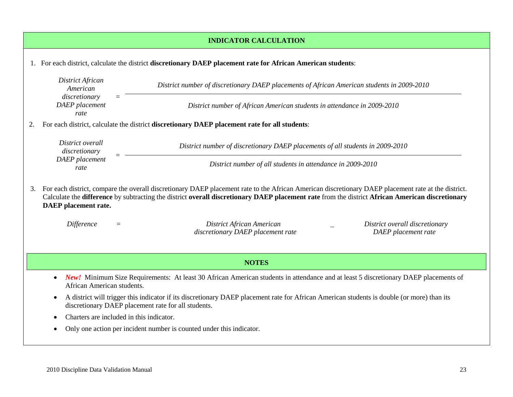|    | <b>INDICATOR CALCULATION</b>                                                                                                                                                                                   |                                                                                                                                                                                                                                                                                                        |  |  |  |  |  |
|----|----------------------------------------------------------------------------------------------------------------------------------------------------------------------------------------------------------------|--------------------------------------------------------------------------------------------------------------------------------------------------------------------------------------------------------------------------------------------------------------------------------------------------------|--|--|--|--|--|
|    | 1. For each district, calculate the district discretionary DAEP placement rate for African American students:                                                                                                  |                                                                                                                                                                                                                                                                                                        |  |  |  |  |  |
|    | District African<br>District number of discretionary DAEP placements of African American students in 2009-2010<br>American                                                                                     |                                                                                                                                                                                                                                                                                                        |  |  |  |  |  |
|    | discretionary<br>$=$<br>DAEP placement<br>rate                                                                                                                                                                 | District number of African American students in attendance in 2009-2010                                                                                                                                                                                                                                |  |  |  |  |  |
| 2. |                                                                                                                                                                                                                | For each district, calculate the district discretionary DAEP placement rate for all students:                                                                                                                                                                                                          |  |  |  |  |  |
|    | District overall<br>discretionary                                                                                                                                                                              | District number of discretionary DAEP placements of all students in 2009-2010                                                                                                                                                                                                                          |  |  |  |  |  |
|    | DAEP placement<br>rate                                                                                                                                                                                         | District number of all students in attendance in 2009-2010                                                                                                                                                                                                                                             |  |  |  |  |  |
| 3. | DAEP placement rate.                                                                                                                                                                                           | For each district, compare the overall discretionary DAEP placement rate to the African American discretionary DAEP placement rate at the district.<br>Calculate the difference by subtracting the district overall discretionary DAEP placement rate from the district African American discretionary |  |  |  |  |  |
|    | District overall discretionary<br><b>Difference</b><br><b>District African American</b><br>$\equiv$<br>discretionary DAEP placement rate<br>DAEP placement rate                                                |                                                                                                                                                                                                                                                                                                        |  |  |  |  |  |
|    |                                                                                                                                                                                                                | <b>NOTES</b>                                                                                                                                                                                                                                                                                           |  |  |  |  |  |
|    | New! Minimum Size Requirements: At least 30 African American students in attendance and at least 5 discretionary DAEP placements of<br>$\bullet$<br>African American students.                                 |                                                                                                                                                                                                                                                                                                        |  |  |  |  |  |
|    | A district will trigger this indicator if its discretionary DAEP placement rate for African American students is double (or more) than its<br>$\bullet$<br>discretionary DAEP placement rate for all students. |                                                                                                                                                                                                                                                                                                        |  |  |  |  |  |
|    | Charters are included in this indicator.                                                                                                                                                                       |                                                                                                                                                                                                                                                                                                        |  |  |  |  |  |
|    | $\bullet$                                                                                                                                                                                                      | Only one action per incident number is counted under this indicator.                                                                                                                                                                                                                                   |  |  |  |  |  |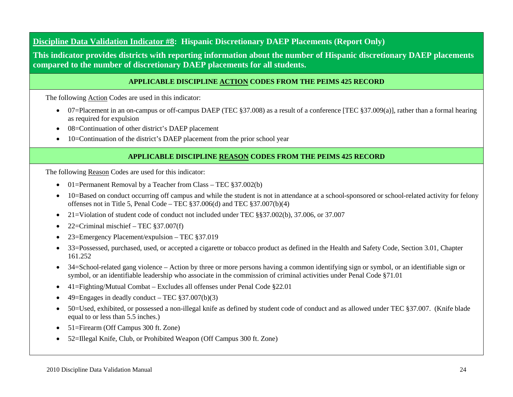# **Discipline Data Validation Indicator #8: Hispanic Discretionary DAEP Placements (Report Only)**

**This indicator provides districts with reporting information about the number of Hispanic discretionary DAEP placements compared to the number of discretionary DAEP placements for all students.**

#### **APPLICABLE DISCIPLINE ACTION CODES FROM THE PEIMS 425 RECORD**

The following Action Codes are used in this indicator:

- 07=Placement in an on-campus or off-campus DAEP (TEC  $\S 37.008$ ) as a result of a conference [TEC  $\S 37.009(a)$ ], rather than a formal hearing as required for expulsion
- 08=Continuation of other district's DAEP placement
- 10=Continuation of the district's DAEP placement from the prior school year

#### **APPLICABLE DISCIPLINE REASON CODES FROM THE PEIMS 425 RECORD**

The following Reason Codes are used for this indicator:

- 01=Permanent Removal by a Teacher from Class TEC §37.002(b)
- 10 = Based on conduct occurring off campus and while the student is not in attendance at a school-sponsored or school-related activity for felony offenses not in Title 5, Penal Code – TEC  $\S 37.006(d)$  and TEC  $\S 37.007(b)(4)$
- 21=Violation of student code of conduct not included under TEC §§37.002(b), 37.006, or 37.007
- 22=Criminal mischief TEC  $\S 37.007(f)$
- 23=Emergency Placement/expulsion TEC §37.019
- 33=Possessed, purchased, used, or accepted a cigarette or tobacco product as defined in the Health and Safety Code, Section 3.01, Chapter 161.252
- 34=School-related gang violence Action by three or more persons having a common identifying sign or symbol, or an identifiable sign or symbol, or an identifiable leadership who associate in the commission of criminal activities under Penal Code §71.01
- 41=Fighting/Mutual Combat Excludes all offenses under Penal Code §22.01
- 49=Engages in deadly conduct TEC  $$37.007(b)(3)$
- 50=Used, exhibited, or possessed a non-illegal knife as defined by student code of conduct and as allowed under TEC §37.007. (Knife blade equal to or less than 5.5 inches.)
- 51=Firearm (Off Campus 300 ft. Zone)
- 52=Illegal Knife, Club, or Prohibited Weapon (Off Campus 300 ft. Zone)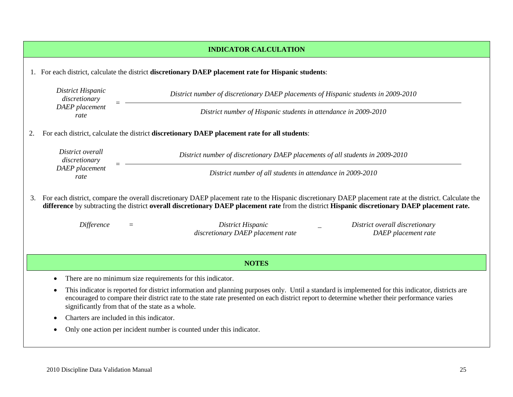|    | <b>INDICATOR CALCULATION</b>                                                                                                                                                                                                                                                                                                                         |                                                                                                                                                                                                                                                                                                             |  |  |  |  |  |
|----|------------------------------------------------------------------------------------------------------------------------------------------------------------------------------------------------------------------------------------------------------------------------------------------------------------------------------------------------------|-------------------------------------------------------------------------------------------------------------------------------------------------------------------------------------------------------------------------------------------------------------------------------------------------------------|--|--|--|--|--|
|    | 1. For each district, calculate the district discretionary DAEP placement rate for Hispanic students:                                                                                                                                                                                                                                                |                                                                                                                                                                                                                                                                                                             |  |  |  |  |  |
|    | District Hispanic<br>District number of discretionary DAEP placements of Hispanic students in 2009-2010<br>discretionary                                                                                                                                                                                                                             |                                                                                                                                                                                                                                                                                                             |  |  |  |  |  |
|    | DAEP placement<br>rate                                                                                                                                                                                                                                                                                                                               | District number of Hispanic students in attendance in 2009-2010                                                                                                                                                                                                                                             |  |  |  |  |  |
| 2. |                                                                                                                                                                                                                                                                                                                                                      | For each district, calculate the district discretionary DAEP placement rate for all students:                                                                                                                                                                                                               |  |  |  |  |  |
|    | District overall<br>discretionary                                                                                                                                                                                                                                                                                                                    | District number of discretionary DAEP placements of all students in 2009-2010                                                                                                                                                                                                                               |  |  |  |  |  |
|    | DAEP placement<br>District number of all students in attendance in 2009-2010<br>rate                                                                                                                                                                                                                                                                 |                                                                                                                                                                                                                                                                                                             |  |  |  |  |  |
| 3. |                                                                                                                                                                                                                                                                                                                                                      | For each district, compare the overall discretionary DAEP placement rate to the Hispanic discretionary DAEP placement rate at the district. Calculate the<br>difference by subtracting the district overall discretionary DAEP placement rate from the district Hispanic discretionary DAEP placement rate. |  |  |  |  |  |
|    | <b>Difference</b><br>$=$                                                                                                                                                                                                                                                                                                                             | District Hispanic<br>District overall discretionary<br>discretionary DAEP placement rate<br>DAEP placement rate                                                                                                                                                                                             |  |  |  |  |  |
|    |                                                                                                                                                                                                                                                                                                                                                      | <b>NOTES</b>                                                                                                                                                                                                                                                                                                |  |  |  |  |  |
|    | $\bullet$                                                                                                                                                                                                                                                                                                                                            | There are no minimum size requirements for this indicator.                                                                                                                                                                                                                                                  |  |  |  |  |  |
|    | This indicator is reported for district information and planning purposes only. Until a standard is implemented for this indicator, districts are<br>encouraged to compare their district rate to the state rate presented on each district report to determine whether their performance varies<br>significantly from that of the state as a whole. |                                                                                                                                                                                                                                                                                                             |  |  |  |  |  |
|    | Charters are included in this indicator.                                                                                                                                                                                                                                                                                                             |                                                                                                                                                                                                                                                                                                             |  |  |  |  |  |
|    | $\bullet$                                                                                                                                                                                                                                                                                                                                            | Only one action per incident number is counted under this indicator.                                                                                                                                                                                                                                        |  |  |  |  |  |
|    |                                                                                                                                                                                                                                                                                                                                                      |                                                                                                                                                                                                                                                                                                             |  |  |  |  |  |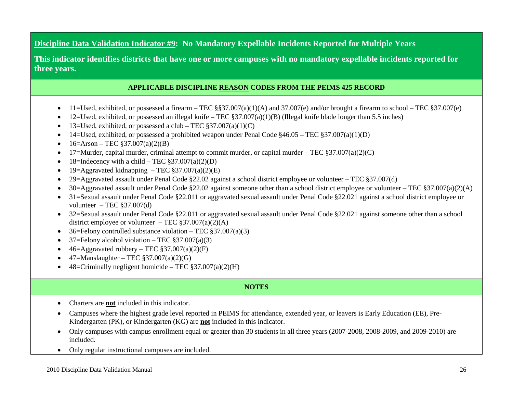# **Discipline Data Validation Indicator #9: No Mandatory Expellable Incidents Reported for Multiple Years**

**This indicator identifies districts that have one or more campuses with no mandatory expellable incidents reported for three years.**

#### **APPLICABLE DISCIPLINE REASON CODES FROM THE PEIMS 425 RECORD**

- 11=Used, exhibited, or possessed a firearm TEC  $\S$  $\S$ 37.007(a)(1)(A) and 37.007(e) and/or brought a firearm to school TEC  $\S$ 37.007(e)
- 12=Used, exhibited, or possessed an illegal knife TEC  $\S 37.007(a)(1)(B)$  (Illegal knife blade longer than 5.5 inches)
- 13=Used, exhibited, or possessed a club TEC  $\S 37.007(a)(1)(C)$
- 14=Used, exhibited, or possessed a prohibited weapon under Penal Code  $§46.05 \text{TEC }$   $§37.007(a)(1)(D)$
- $16=Arson TEC$  §37.007(a)(2)(B)
- 17=Murder, capital murder, criminal attempt to commit murder, or capital murder TEC  $$37.007(a)(2)(C)$
- 18=Indecency with a child TEC  $\S 37.007(a)(2)(D)$
- 19=Aggravated kidnapping TEC  $$37.007(a)(2)(E)$
- 29=Aggravated assault under Penal Code §22.02 against a school district employee or volunteer TEC §37.007(d)
- 30=Aggravated assault under Penal Code §22.02 against someone other than a school district employee or volunteer TEC §37.007(a)(2)(A)
- 31=Sexual assault under Penal Code §22.011 or aggravated sexual assault under Penal Code §22.021 against a school district employee or volunteer – TEC  $$37.007(d)$
- 32 = Sexual assault under Penal Code §22.011 or aggravated sexual assault under Penal Code §22.021 against someone other than a school district employee or volunteer – TEC  $\S 37.007(a)(2)(A)$
- 36=Felony controlled substance violation TEC  $§37.007(a)(3)$
- 37=Felony alcohol violation TEC  $\S 37.007(a)(3)$
- $46=$ Aggravated robbery TEC §37.007(a)(2)(F)
- $47 =$ Manslaughter TEC §37.007(a)(2)(G)
- 48=Criminally negligent homicide TEC  $\S 37.007(a)(2)(H)$

## **NOTES**

- Charters are **not** included in this indicator.
- Campuses where the highest grade level reported in PEIMS for attendance, extended year, or leavers is Early Education (EE), Pre-Kindergarten (PK), or Kindergarten (KG) are **not** included in this indicator.
- Only campuses with campus enrollment equal or greater than 30 students in all three years (2007-2008, 2008-2009, and 2009-2010) are included.
- Only regular instructional campuses are included.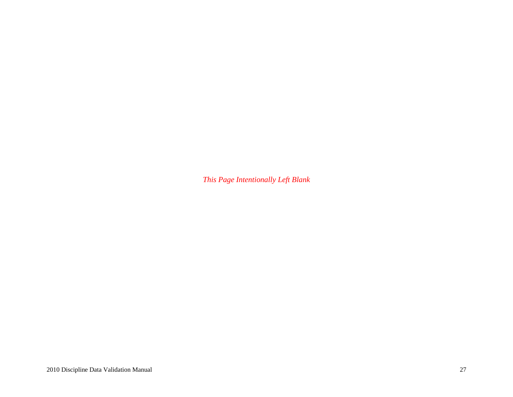*This Page Intentionally Left Blank*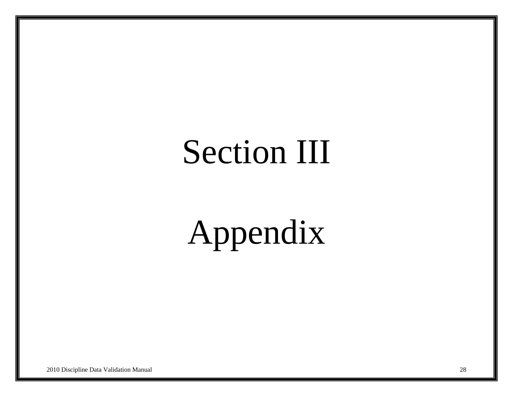# Section III

# Appendix

2010 Discipline Data Validation Manual 28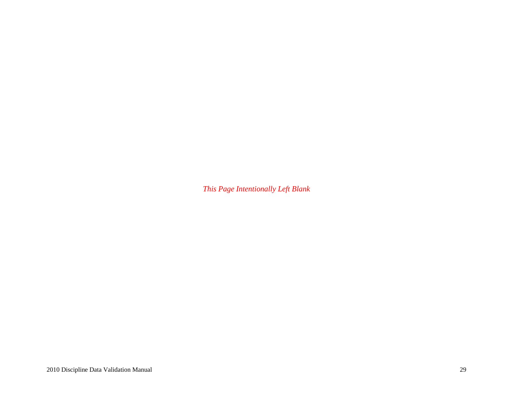*This Page Intentionally Left Blank*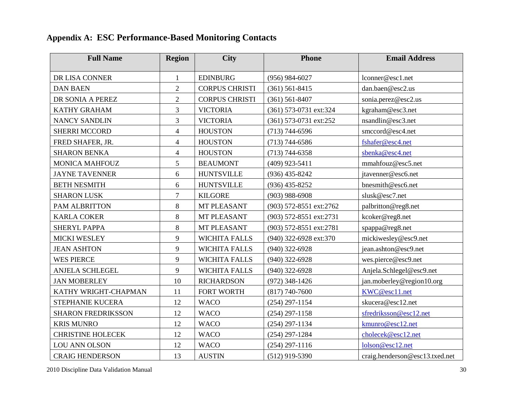| <b>Full Name</b>          | <b>Region</b>  | <b>City</b>           | <b>Phone</b>            | <b>Email Address</b>           |
|---------------------------|----------------|-----------------------|-------------------------|--------------------------------|
| DR LISA CONNER            | $\mathbf{1}$   | <b>EDINBURG</b>       | $(956)$ 984-6027        | lconner@esc1.net               |
| <b>DAN BAEN</b>           | $\overline{2}$ | <b>CORPUS CHRISTI</b> | $(361) 561 - 8415$      | dan.baen@esc2.us               |
| DR SONIA A PEREZ          | $\overline{2}$ | <b>CORPUS CHRISTI</b> | $(361) 561 - 8407$      | sonia.perez@esc2.us            |
| <b>KATHY GRAHAM</b>       | 3              | <b>VICTORIA</b>       | (361) 573-0731 ext:324  | kgraham@esc3.net               |
| NANCY SANDLIN             | 3              | <b>VICTORIA</b>       | (361) 573-0731 ext:252  | nsandlin@esc3.net              |
| <b>SHERRI MCCORD</b>      | $\overline{4}$ | <b>HOUSTON</b>        | $(713) 744 - 6596$      | smccord@esc4.net               |
| FRED SHAFER, JR.          | $\overline{4}$ | <b>HOUSTON</b>        | $(713) 744 - 6586$      | fshafer@esc4.net               |
| <b>SHARON BENKA</b>       | $\overline{4}$ | <b>HOUSTON</b>        | $(713) 744 - 6358$      | sbenka@esc4.net                |
| MONICA MAHFOUZ            | 5              | <b>BEAUMONT</b>       | $(409)$ 923-5411        | mmahfouz@esc5.net              |
| <b>JAYNE TAVENNER</b>     | 6              | <b>HUNTSVILLE</b>     | $(936)$ 435-8242        | jtavenner@esc6.net             |
| <b>BETH NESMITH</b>       | 6              | <b>HUNTSVILLE</b>     | $(936)$ 435-8252        | bnesmith@esc6.net              |
| <b>SHARON LUSK</b>        | $\overline{7}$ | <b>KILGORE</b>        | $(903)$ 988-6908        | slusk@esc7.net                 |
| PAM ALBRITTON             | $\,8\,$        | MT PLEASANT           | (903) 572-8551 ext:2762 | palbritton@reg8.net            |
| <b>KARLA COKER</b>        | $\,8\,$        | MT PLEASANT           | (903) 572-8551 ext:2731 | kcoker@reg8.net                |
| SHERYL PAPPA              | $\,8\,$        | MT PLEASANT           | (903) 572-8551 ext:2781 | spappa@reg8.net                |
| <b>MICKI WESLEY</b>       | 9              | <b>WICHITA FALLS</b>  | (940) 322-6928 ext:370  | mickiwesley@esc9.net           |
| <b>JEAN ASHTON</b>        | 9              | <b>WICHITA FALLS</b>  | $(940)$ 322-6928        | jean.ashton@esc9.net           |
| <b>WES PIERCE</b>         | 9              | <b>WICHITA FALLS</b>  | $(940)$ 322-6928        | wes.pierce@esc9.net            |
| <b>ANJELA SCHLEGEL</b>    | 9              | WICHITA FALLS         | $(940)$ 322-6928        | Anjela.Schlegel@esc9.net       |
| <b>JAN MOBERLEY</b>       | 10             | <b>RICHARDSON</b>     | $(972)$ 348-1426        | jan.moberley@region10.org      |
| KATHY WRIGHT-CHAPMAN      | 11             | FORT WORTH            | $(817) 740 - 7600$      | KWC@esc11.net                  |
| STEPHANIE KUCERA          | 12             | <b>WACO</b>           | $(254) 297 - 1154$      | skucera@esc12.net              |
| <b>SHARON FREDRIKSSON</b> | 12             | <b>WACO</b>           | $(254) 297 - 1158$      | sfredriksson@esc12.net         |
| <b>KRIS MUNRO</b>         | 12             | <b>WACO</b>           | $(254)$ 297-1134        | kmunro@esc12.net               |
| <b>CHRISTINE HOLECEK</b>  | 12             | <b>WACO</b>           | $(254) 297 - 1284$      | cholecek@esc12.net             |
| <b>LOU ANN OLSON</b>      | 12             | <b>WACO</b>           | $(254) 297 - 1116$      | lolson@esc12.net               |
| <b>CRAIG HENDERSON</b>    | 13             | <b>AUSTIN</b>         | $(512)$ 919-5390        | craig.henderson@esc13.txed.net |

# **Appendix A: ESC Performance-Based Monitoring Contacts**

2010 Discipline Data Validation Manual 30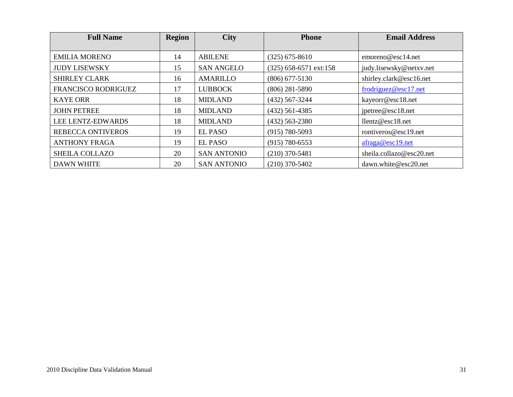| <b>Full Name</b>         | <b>Region</b> | <b>City</b>        | <b>Phone</b>             | <b>Email Address</b>     |
|--------------------------|---------------|--------------------|--------------------------|--------------------------|
| <b>EMILIA MORENO</b>     | 14            | <b>ABILENE</b>     | $(325)$ 675-8610         | emoreno@esc14.net        |
| <b>JUDY LISEWSKY</b>     | 15            | <b>SAN ANGELO</b>  | $(325)$ 658-6571 ext:158 | judy.lisewsky@netxv.net  |
| <b>SHIRLEY CLARK</b>     | 16            | <b>AMARILLO</b>    | $(806)$ 677-5130         | shirley.clark@esc16.net  |
| FRANCISCO RODRIGUEZ      | 17            | <b>LUBBOCK</b>     | $(806)$ 281-5890         | frodriguez@esc17.net     |
| <b>KAYE ORR</b>          | 18            | <b>MIDLAND</b>     | $(432)$ 567-3244         | kayeorr@esc18.net        |
| <b>JOHN PETREE</b>       | 18            | <b>MIDLAND</b>     | $(432)$ 561-4385         | ipetree@esc18.net        |
| <b>LEE LENTZ-EDWARDS</b> | 18            | <b>MIDLAND</b>     | $(432)$ 563-2380         | llentz@esc18.net         |
| <b>REBECCA ONTIVEROS</b> | 19            | <b>EL PASO</b>     | $(915) 780 - 5093$       | rontiveros@esc19.net     |
| <b>ANTHONY FRAGA</b>     | 19            | <b>EL PASO</b>     | $(915) 780 - 6553$       | afraga@esc19.net         |
| <b>SHEILA COLLAZO</b>    | 20            | <b>SAN ANTONIO</b> | $(210)$ 370-5481         | sheila.collazo@esc20.net |
| <b>DAWN WHITE</b>        | 20            | <b>SAN ANTONIO</b> | $(210)$ 370-5402         | dawn.white@esc20.net     |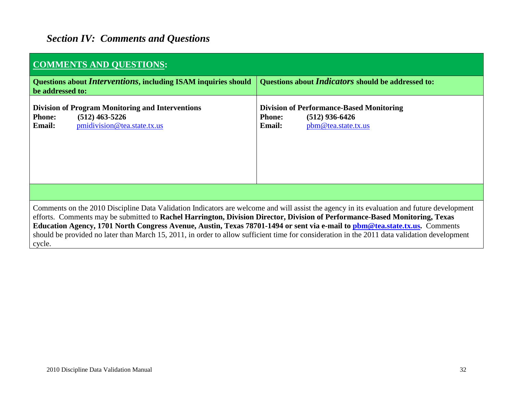# *Section IV: Comments and Questions*

| <b>COMMENTS AND QUESTIONS:</b>                                                                                                                                                                                                                                                                                                                                                                                      |                                                                                                                              |
|---------------------------------------------------------------------------------------------------------------------------------------------------------------------------------------------------------------------------------------------------------------------------------------------------------------------------------------------------------------------------------------------------------------------|------------------------------------------------------------------------------------------------------------------------------|
| Questions about <i>Interventions</i> , including ISAM inquiries should<br>be addressed to:                                                                                                                                                                                                                                                                                                                          | Questions about <i>Indicators</i> should be addressed to:                                                                    |
| <b>Division of Program Monitoring and Interventions</b><br><b>Phone:</b><br>$(512)$ 463-5226<br>Email:<br>pmidivision@tea.state.tx.us                                                                                                                                                                                                                                                                               | <b>Division of Performance-Based Monitoring</b><br><b>Phone:</b><br>$(512)$ 936-6426<br><b>Email:</b><br>pbm@tea.state.tx.us |
| Comments on the 2010 Discipline Data Validation Indicators are welcome and will assist the agency in its evaluation and future development                                                                                                                                                                                                                                                                          |                                                                                                                              |
| efforts. Comments may be submitted to Rachel Harrington, Division Director, Division of Performance-Based Monitoring, Texas<br>Education Agency, 1701 North Congress Avenue, Austin, Texas 78701-1494 or sent via e-mail to phm@tea.state.tx.us. Comments<br>should be provided no later than March 15, 2011, in order to allow sufficient time for consideration in the 2011 data validation development<br>cycle. |                                                                                                                              |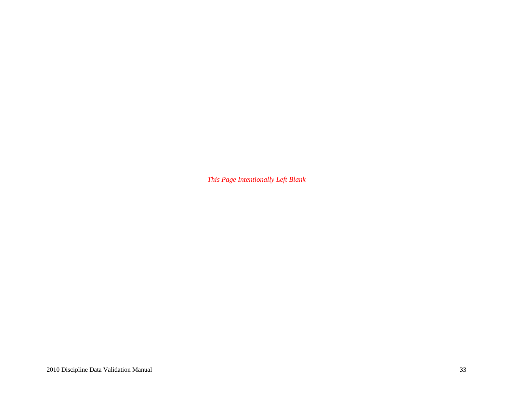*This Page Intentionally Left Blank*